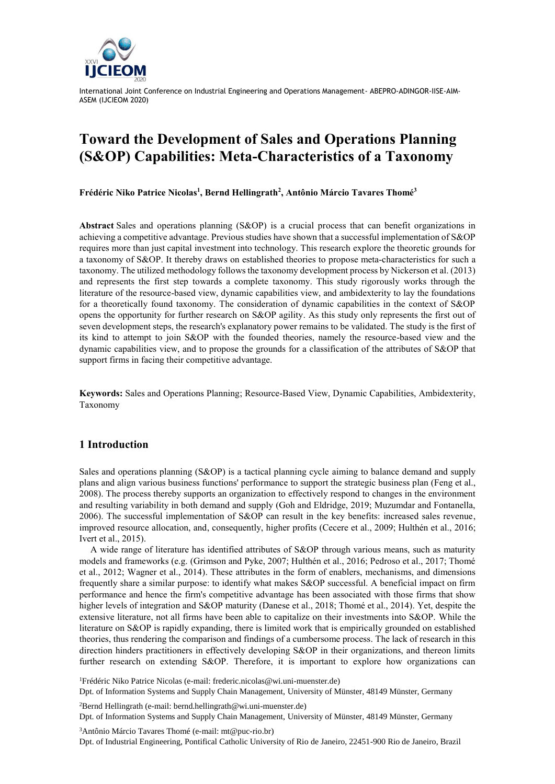

# **Toward the Development of Sales and Operations Planning (S&OP) Capabilities: Meta-Characteristics of a Taxonomy**

**Frédéric Niko Patrice Nicolas<sup>1</sup> , Bernd Hellingrath<sup>2</sup> , Antônio Márcio Tavares Thomé<sup>3</sup>**

**Abstract** Sales and operations planning (S&OP) is a crucial process that can benefit organizations in achieving a competitive advantage. Previous studies have shown that a successful implementation of S&OP requires more than just capital investment into technology. This research explore the theoretic grounds for a taxonomy of S&OP. It thereby draws on established theories to propose meta-characteristics for such a taxonomy. The utilized methodology follows the taxonomy development process by Nickerson et al. (2013) and represents the first step towards a complete taxonomy. This study rigorously works through the literature of the resource-based view, dynamic capabilities view, and ambidexterity to lay the foundations for a theoretically found taxonomy. The consideration of dynamic capabilities in the context of S&OP opens the opportunity for further research on S&OP agility. As this study only represents the first out of seven development steps, the research's explanatory power remains to be validated. The study is the first of its kind to attempt to join S&OP with the founded theories, namely the resource-based view and the dynamic capabilities view, and to propose the grounds for a classification of the attributes of S&OP that support firms in facing their competitive advantage.

**Keywords:** Sales and Operations Planning; Resource-Based View, Dynamic Capabilities, Ambidexterity, Taxonomy

# **1 Introduction**

Sales and operations planning (S&OP) is a tactical planning cycle aiming to balance demand and supply plans and align various business functions' performance to support the strategic business plan (Feng et al., 2008). The process thereby supports an organization to effectively respond to changes in the environment and resulting variability in both demand and supply (Goh and Eldridge, 2019; Muzumdar and Fontanella, 2006). The successful implementation of S&OP can result in the key benefits: increased sales revenue, improved resource allocation, and, consequently, higher profits (Cecere et al., 2009; Hulthén et al., 2016; Ivert et al., 2015).

A wide range of literature has identified attributes of S&OP through various means, such as maturity models and frameworks (e.g. (Grimson and Pyke, 2007; Hulthén et al., 2016; Pedroso et al., 2017; Thomé et al., 2012; Wagner et al., 2014). These attributes in the form of enablers, mechanisms, and dimensions frequently share a similar purpose: to identify what makes S&OP successful. A beneficial impact on firm performance and hence the firm's competitive advantage has been associated with those firms that show higher levels of integration and S&OP maturity (Danese et al., 2018; Thomé et al., 2014). Yet, despite the extensive literature, not all firms have been able to capitalize on their investments into S&OP. While the literature on S&OP is rapidly expanding, there is limited work that is empirically grounded on established theories, thus rendering the comparison and findings of a cumbersome process. The lack of research in this direction hinders practitioners in effectively developing S&OP in their organizations, and thereon limits further research on extending S&OP. Therefore, it is important to explore how organizations can

<sup>1</sup>Frédéric Niko Patrice Nicolas (e-mail: frederic.nicolas@wi.uni-muenster.de) Dpt. of Information Systems and Supply Chain Management, University of Münster, 48149 Münster, Germany

<sup>2</sup>Bernd Hellingrath (e-mail: bernd.hellingrath@wi.uni-muenster.de) Dpt. of Information Systems and Supply Chain Management, University of Münster, 48149 Münster, Germany

<sup>3</sup>Antônio Márcio Tavares Thomé (e-mail: mt@puc-rio.br) Dpt. of Industrial Engineering, Pontifical Catholic University of Rio de Janeiro, 22451-900 Rio de Janeiro, Brazil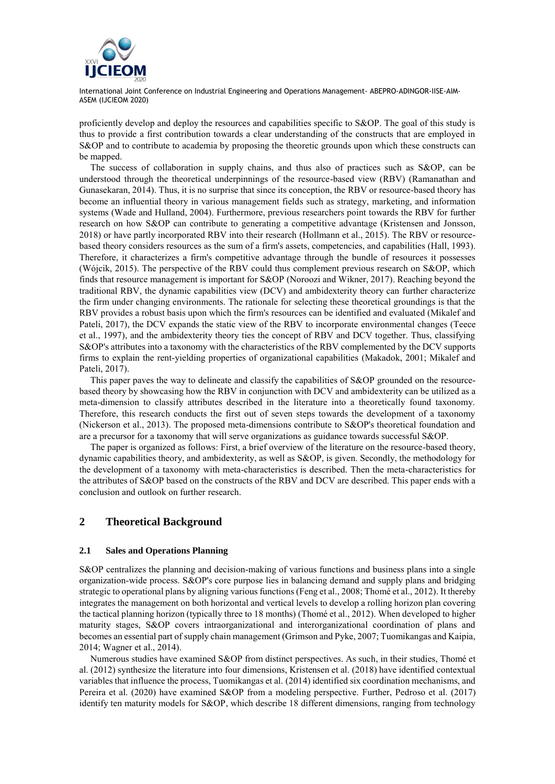

proficiently develop and deploy the resources and capabilities specific to S&OP. The goal of this study is thus to provide a first contribution towards a clear understanding of the constructs that are employed in S&OP and to contribute to academia by proposing the theoretic grounds upon which these constructs can be mapped.

The success of collaboration in supply chains, and thus also of practices such as S&OP, can be understood through the theoretical underpinnings of the resource-based view (RBV) (Ramanathan and Gunasekaran, 2014). Thus, it is no surprise that since its conception, the RBV or resource-based theory has become an influential theory in various management fields such as strategy, marketing, and information systems (Wade and Hulland, 2004). Furthermore, previous researchers point towards the RBV for further research on how S&OP can contribute to generating a competitive advantage (Kristensen and Jonsson, 2018) or have partly incorporated RBV into their research (Hollmann et al., 2015). The RBV or resourcebased theory considers resources as the sum of a firm's assets, competencies, and capabilities (Hall, 1993). Therefore, it characterizes a firm's competitive advantage through the bundle of resources it possesses (Wójcik, 2015). The perspective of the RBV could thus complement previous research on S&OP, which finds that resource management is important for S&OP (Noroozi and Wikner, 2017). Reaching beyond the traditional RBV, the dynamic capabilities view (DCV) and ambidexterity theory can further characterize the firm under changing environments. The rationale for selecting these theoretical groundings is that the RBV provides a robust basis upon which the firm's resources can be identified and evaluated (Mikalef and Pateli, 2017), the DCV expands the static view of the RBV to incorporate environmental changes (Teece et al., 1997), and the ambidexterity theory ties the concept of RBV and DCV together. Thus, classifying S&OP's attributes into a taxonomy with the characteristics of the RBV complemented by the DCV supports firms to explain the rent-yielding properties of organizational capabilities (Makadok, 2001; Mikalef and Pateli, 2017).

This paper paves the way to delineate and classify the capabilities of S&OP grounded on the resourcebased theory by showcasing how the RBV in conjunction with DCV and ambidexterity can be utilized as a meta-dimension to classify attributes described in the literature into a theoretically found taxonomy. Therefore, this research conducts the first out of seven steps towards the development of a taxonomy (Nickerson et al., 2013). The proposed meta-dimensions contribute to S&OP's theoretical foundation and are a precursor for a taxonomy that will serve organizations as guidance towards successful S&OP.

The paper is organized as follows: First, a brief overview of the literature on the resource-based theory, dynamic capabilities theory, and ambidexterity, as well as S&OP, is given. Secondly, the methodology for the development of a taxonomy with meta-characteristics is described. Then the meta-characteristics for the attributes of S&OP based on the constructs of the RBV and DCV are described. This paper ends with a conclusion and outlook on further research.

## **2 Theoretical Background**

#### **2.1 Sales and Operations Planning**

S&OP centralizes the planning and decision-making of various functions and business plans into a single organization-wide process. S&OP's core purpose lies in balancing demand and supply plans and bridging strategic to operational plans by aligning various functions (Feng et al., 2008; Thomé et al., 2012). It thereby integrates the management on both horizontal and vertical levels to develop a rolling horizon plan covering the tactical planning horizon (typically three to 18 months) (Thomé et al., 2012). When developed to higher maturity stages, S&OP covers intraorganizational and interorganizational coordination of plans and becomes an essential part of supply chain management (Grimson and Pyke, 2007; Tuomikangas and Kaipia, 2014; Wagner et al., 2014).

Numerous studies have examined S&OP from distinct perspectives. As such, in their studies, Thomé et al. (2012) synthesize the literature into four dimensions, Kristensen et al. (2018) have identified contextual variables that influence the process, Tuomikangas et al. (2014) identified six coordination mechanisms, and Pereira et al. (2020) have examined S&OP from a modeling perspective. Further, Pedroso et al. (2017) identify ten maturity models for S&OP, which describe 18 different dimensions, ranging from technology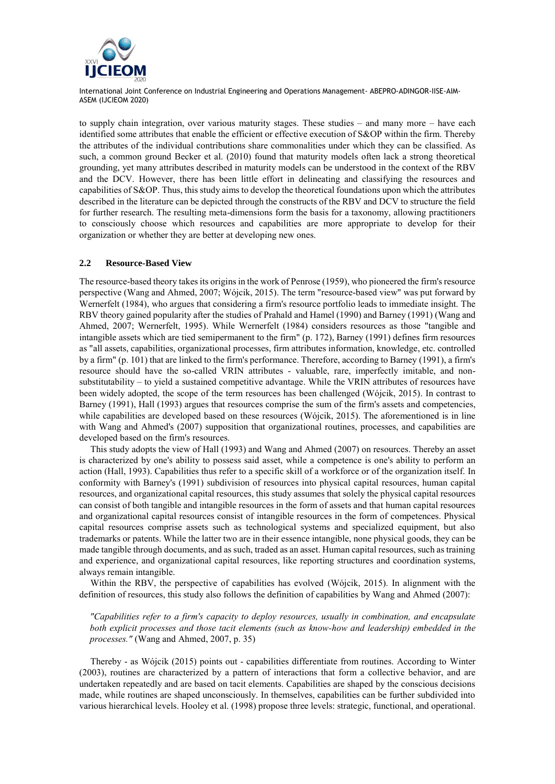

to supply chain integration, over various maturity stages. These studies – and many more – have each identified some attributes that enable the efficient or effective execution of S&OP within the firm. Thereby the attributes of the individual contributions share commonalities under which they can be classified. As such, a common ground Becker et al. (2010) found that maturity models often lack a strong theoretical grounding, yet many attributes described in maturity models can be understood in the context of the RBV and the DCV. However, there has been little effort in delineating and classifying the resources and capabilities of S&OP. Thus, this study aims to develop the theoretical foundations upon which the attributes described in the literature can be depicted through the constructs of the RBV and DCV to structure the field for further research. The resulting meta-dimensions form the basis for a taxonomy, allowing practitioners to consciously choose which resources and capabilities are more appropriate to develop for their organization or whether they are better at developing new ones.

#### **2.2 Resource-Based View**

The resource-based theory takes its origins in the work of Penrose (1959), who pioneered the firm's resource perspective (Wang and Ahmed, 2007; Wójcik, 2015). The term "resource-based view" was put forward by Wernerfelt (1984), who argues that considering a firm's resource portfolio leads to immediate insight. The RBV theory gained popularity after the studies of Prahald and Hamel (1990) and Barney (1991) (Wang and Ahmed, 2007; Wernerfelt, 1995). While Wernerfelt (1984) considers resources as those "tangible and intangible assets which are tied semipermanent to the firm" (p. 172), Barney (1991) defines firm resources as "all assets, capabilities, organizational processes, firm attributes information, knowledge, etc. controlled by a firm" (p. 101) that are linked to the firm's performance. Therefore, according to Barney (1991), a firm's resource should have the so-called VRIN attributes - valuable, rare, imperfectly imitable, and nonsubstitutability – to yield a sustained competitive advantage. While the VRIN attributes of resources have been widely adopted, the scope of the term resources has been challenged (Wójcik, 2015). In contrast to Barney (1991), Hall (1993) argues that resources comprise the sum of the firm's assets and competencies, while capabilities are developed based on these resources (Wójcik, 2015). The aforementioned is in line with Wang and Ahmed's (2007) supposition that organizational routines, processes, and capabilities are developed based on the firm's resources.

This study adopts the view of Hall (1993) and Wang and Ahmed (2007) on resources. Thereby an asset is characterized by one's ability to possess said asset, while a competence is one's ability to perform an action (Hall, 1993). Capabilities thus refer to a specific skill of a workforce or of the organization itself. In conformity with Barney's (1991) subdivision of resources into physical capital resources, human capital resources, and organizational capital resources, this study assumes that solely the physical capital resources can consist of both tangible and intangible resources in the form of assets and that human capital resources and organizational capital resources consist of intangible resources in the form of competences. Physical capital resources comprise assets such as technological systems and specialized equipment, but also trademarks or patents. While the latter two are in their essence intangible, none physical goods, they can be made tangible through documents, and as such, traded as an asset. Human capital resources, such as training and experience, and organizational capital resources, like reporting structures and coordination systems, always remain intangible.

Within the RBV, the perspective of capabilities has evolved (Wójcik, 2015). In alignment with the definition of resources, this study also follows the definition of capabilities by Wang and Ahmed (2007):

*"Capabilities refer to a firm's capacity to deploy resources, usually in combination, and encapsulate both explicit processes and those tacit elements (such as know-how and leadership) embedded in the processes."* (Wang and Ahmed, 2007, p. 35)

Thereby - as Wójcik (2015) points out - capabilities differentiate from routines. According to Winter (2003), routines are characterized by a pattern of interactions that form a collective behavior, and are undertaken repeatedly and are based on tacit elements. Capabilities are shaped by the conscious decisions made, while routines are shaped unconsciously. In themselves, capabilities can be further subdivided into various hierarchical levels. Hooley et al. (1998) propose three levels: strategic, functional, and operational.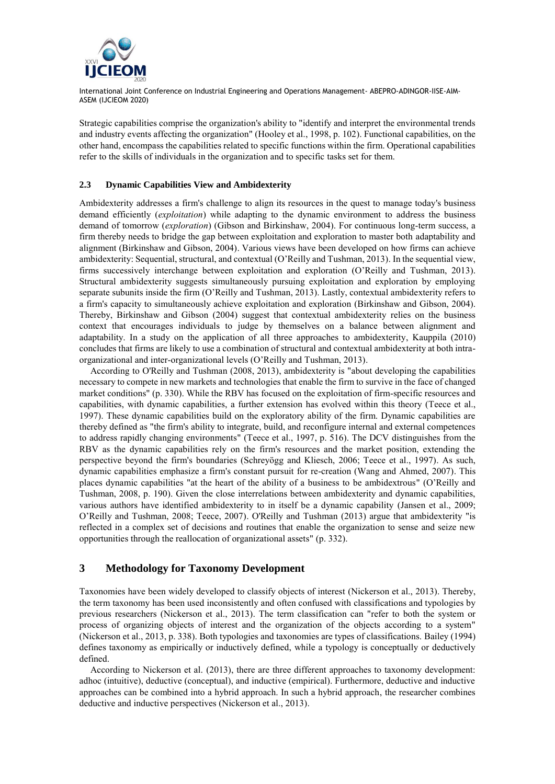

Strategic capabilities comprise the organization's ability to "identify and interpret the environmental trends and industry events affecting the organization" (Hooley et al., 1998, p. 102). Functional capabilities, on the other hand, encompass the capabilities related to specific functions within the firm. Operational capabilities refer to the skills of individuals in the organization and to specific tasks set for them.

#### **2.3 Dynamic Capabilities View and Ambidexterity**

Ambidexterity addresses a firm's challenge to align its resources in the quest to manage today's business demand efficiently (*exploitation*) while adapting to the dynamic environment to address the business demand of tomorrow (*exploration*) (Gibson and Birkinshaw, 2004). For continuous long-term success, a firm thereby needs to bridge the gap between exploitation and exploration to master both adaptability and alignment (Birkinshaw and Gibson, 2004). Various views have been developed on how firms can achieve ambidexterity: Sequential, structural, and contextual (O'Reilly and Tushman, 2013). In the sequential view, firms successively interchange between exploitation and exploration (O'Reilly and Tushman, 2013). Structural ambidexterity suggests simultaneously pursuing exploitation and exploration by employing separate subunits inside the firm (O'Reilly and Tushman, 2013). Lastly, contextual ambidexterity refers to a firm's capacity to simultaneously achieve exploitation and exploration (Birkinshaw and Gibson, 2004). Thereby, Birkinshaw and Gibson (2004) suggest that contextual ambidexterity relies on the business context that encourages individuals to judge by themselves on a balance between alignment and adaptability. In a study on the application of all three approaches to ambidexterity, Kauppila (2010) concludes that firms are likely to use a combination of structural and contextual ambidexterity at both intraorganizational and inter-organizational levels (O'Reilly and Tushman, 2013).

According to O'Reilly and Tushman (2008, 2013), ambidexterity is "about developing the capabilities necessary to compete in new markets and technologies that enable the firm to survive in the face of changed market conditions" (p. 330). While the RBV has focused on the exploitation of firm-specific resources and capabilities, with dynamic capabilities, a further extension has evolved within this theory (Teece et al., 1997). These dynamic capabilities build on the exploratory ability of the firm. Dynamic capabilities are thereby defined as "the firm's ability to integrate, build, and reconfigure internal and external competences to address rapidly changing environments" (Teece et al., 1997, p. 516). The DCV distinguishes from the RBV as the dynamic capabilities rely on the firm's resources and the market position, extending the perspective beyond the firm's boundaries (Schreyögg and Kliesch, 2006; Teece et al., 1997). As such, dynamic capabilities emphasize a firm's constant pursuit for re-creation (Wang and Ahmed, 2007). This places dynamic capabilities "at the heart of the ability of a business to be ambidextrous" (O'Reilly and Tushman, 2008, p. 190). Given the close interrelations between ambidexterity and dynamic capabilities, various authors have identified ambidexterity to in itself be a dynamic capability (Jansen et al., 2009; O'Reilly and Tushman, 2008; Teece, 2007). O'Reilly and Tushman (2013) argue that ambidexterity "is reflected in a complex set of decisions and routines that enable the organization to sense and seize new opportunities through the reallocation of organizational assets" (p. 332).

# **3 Methodology for Taxonomy Development**

Taxonomies have been widely developed to classify objects of interest (Nickerson et al., 2013). Thereby, the term taxonomy has been used inconsistently and often confused with classifications and typologies by previous researchers (Nickerson et al., 2013). The term classification can "refer to both the system or process of organizing objects of interest and the organization of the objects according to a system" (Nickerson et al., 2013, p. 338). Both typologies and taxonomies are types of classifications. Bailey (1994) defines taxonomy as empirically or inductively defined, while a typology is conceptually or deductively defined.

According to Nickerson et al. (2013), there are three different approaches to taxonomy development: adhoc (intuitive), deductive (conceptual), and inductive (empirical). Furthermore, deductive and inductive approaches can be combined into a hybrid approach. In such a hybrid approach, the researcher combines deductive and inductive perspectives (Nickerson et al., 2013).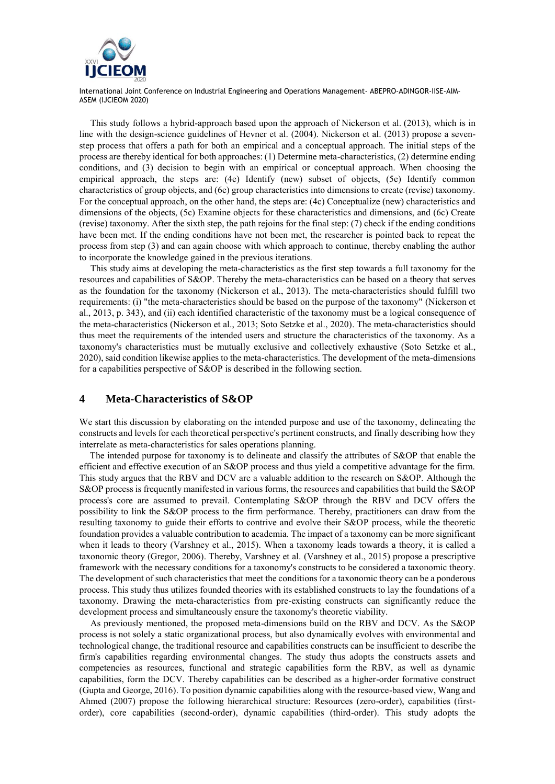

This study follows a hybrid-approach based upon the approach of Nickerson et al. (2013), which is in line with the design-science guidelines of Hevner et al. (2004). Nickerson et al. (2013) propose a sevenstep process that offers a path for both an empirical and a conceptual approach. The initial steps of the process are thereby identical for both approaches: (1) Determine meta-characteristics, (2) determine ending conditions, and (3) decision to begin with an empirical or conceptual approach. When choosing the empirical approach, the steps are: (4e) Identify (new) subset of objects, (5e) Identify common characteristics of group objects, and (6e) group characteristics into dimensions to create (revise) taxonomy. For the conceptual approach, on the other hand, the steps are: (4c) Conceptualize (new) characteristics and dimensions of the objects, (5c) Examine objects for these characteristics and dimensions, and (6c) Create (revise) taxonomy. After the sixth step, the path rejoins for the final step: (7) check if the ending conditions have been met. If the ending conditions have not been met, the researcher is pointed back to repeat the process from step (3) and can again choose with which approach to continue, thereby enabling the author to incorporate the knowledge gained in the previous iterations.

This study aims at developing the meta-characteristics as the first step towards a full taxonomy for the resources and capabilities of S&OP. Thereby the meta-characteristics can be based on a theory that serves as the foundation for the taxonomy (Nickerson et al., 2013). The meta-characteristics should fulfill two requirements: (i) "the meta-characteristics should be based on the purpose of the taxonomy" (Nickerson et al., 2013, p. 343), and (ii) each identified characteristic of the taxonomy must be a logical consequence of the meta-characteristics (Nickerson et al., 2013; Soto Setzke et al., 2020). The meta-characteristics should thus meet the requirements of the intended users and structure the characteristics of the taxonomy. As a taxonomy's characteristics must be mutually exclusive and collectively exhaustive (Soto Setzke et al., 2020), said condition likewise applies to the meta-characteristics. The development of the meta-dimensions for a capabilities perspective of S&OP is described in the following section.

## **4 Meta-Characteristics of S&OP**

We start this discussion by elaborating on the intended purpose and use of the taxonomy, delineating the constructs and levels for each theoretical perspective's pertinent constructs, and finally describing how they interrelate as meta-characteristics for sales operations planning.

The intended purpose for taxonomy is to delineate and classify the attributes of S&OP that enable the efficient and effective execution of an S&OP process and thus yield a competitive advantage for the firm. This study argues that the RBV and DCV are a valuable addition to the research on S&OP. Although the S&OP process is frequently manifested in various forms, the resources and capabilities that build the S&OP process's core are assumed to prevail. Contemplating S&OP through the RBV and DCV offers the possibility to link the S&OP process to the firm performance. Thereby, practitioners can draw from the resulting taxonomy to guide their efforts to contrive and evolve their S&OP process, while the theoretic foundation provides a valuable contribution to academia. The impact of a taxonomy can be more significant when it leads to theory (Varshney et al., 2015). When a taxonomy leads towards a theory, it is called a taxonomic theory (Gregor, 2006). Thereby, Varshney et al. (Varshney et al., 2015) propose a prescriptive framework with the necessary conditions for a taxonomy's constructs to be considered a taxonomic theory. The development of such characteristics that meet the conditions for a taxonomic theory can be a ponderous process. This study thus utilizes founded theories with its established constructs to lay the foundations of a taxonomy. Drawing the meta-characteristics from pre-existing constructs can significantly reduce the development process and simultaneously ensure the taxonomy's theoretic viability.

As previously mentioned, the proposed meta-dimensions build on the RBV and DCV. As the S&OP process is not solely a static organizational process, but also dynamically evolves with environmental and technological change, the traditional resource and capabilities constructs can be insufficient to describe the firm's capabilities regarding environmental changes. The study thus adopts the constructs assets and competencies as resources, functional and strategic capabilities form the RBV, as well as dynamic capabilities, form the DCV. Thereby capabilities can be described as a higher-order formative construct (Gupta and George, 2016). To position dynamic capabilities along with the resource-based view, Wang and Ahmed (2007) propose the following hierarchical structure: Resources (zero-order), capabilities (firstorder), core capabilities (second-order), dynamic capabilities (third-order). This study adopts the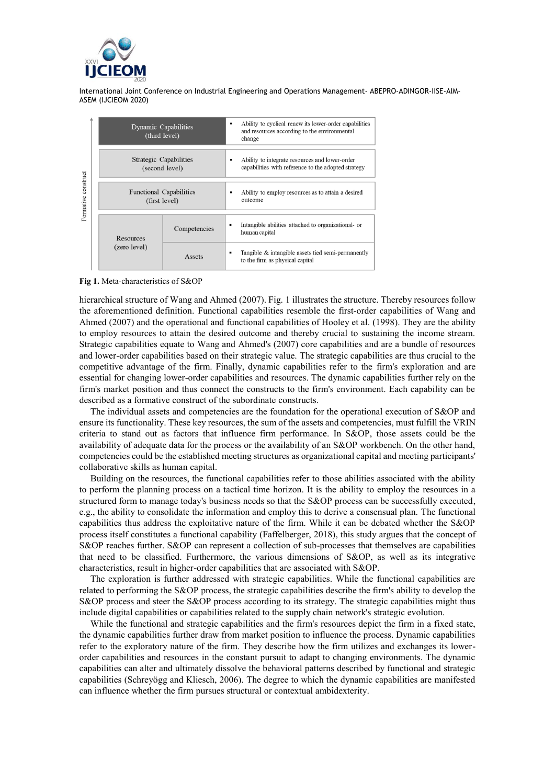

| construct<br>Formative |  | Dynamic Capabilities<br>(third level)           |              | ٠ | Ability to cyclical renew its lower-order capabilities<br>and resources according to the environmental<br>change |  |
|------------------------|--|-------------------------------------------------|--------------|---|------------------------------------------------------------------------------------------------------------------|--|
|                        |  |                                                 |              |   |                                                                                                                  |  |
|                        |  | Strategic Capabilities<br>(second level)        |              | ٠ | Ability to integrate resources and lower-order<br>capabilities with reference to the adopted strategy            |  |
|                        |  |                                                 |              |   |                                                                                                                  |  |
|                        |  | <b>Functional Capabilities</b><br>(first level) |              | ٠ | Ability to employ resources as to attain a desired<br>outcome                                                    |  |
|                        |  |                                                 |              |   |                                                                                                                  |  |
|                        |  | Resources<br>(zero level)                       | Competencies |   | Intangible abilities attached to organizational- or<br>human capital                                             |  |
|                        |  |                                                 | Assets       | ٠ | Tangible & intangible assets tied semi-permanently<br>to the firm as physical capital                            |  |

**Fig 1.** Meta-characteristics of S&OP

hierarchical structure of Wang and Ahmed (2007). Fig. 1 illustrates the structure. Thereby resources follow the aforementioned definition. Functional capabilities resemble the first-order capabilities of Wang and Ahmed (2007) and the operational and functional capabilities of Hooley et al. (1998). They are the ability to employ resources to attain the desired outcome and thereby crucial to sustaining the income stream. Strategic capabilities equate to Wang and Ahmed's (2007) core capabilities and are a bundle of resources and lower-order capabilities based on their strategic value. The strategic capabilities are thus crucial to the competitive advantage of the firm. Finally, dynamic capabilities refer to the firm's exploration and are essential for changing lower-order capabilities and resources. The dynamic capabilities further rely on the firm's market position and thus connect the constructs to the firm's environment. Each capability can be described as a formative construct of the subordinate constructs.

The individual assets and competencies are the foundation for the operational execution of S&OP and ensure its functionality. These key resources, the sum of the assets and competencies, must fulfill the VRIN criteria to stand out as factors that influence firm performance. In S&OP, those assets could be the availability of adequate data for the process or the availability of an S&OP workbench. On the other hand, competencies could be the established meeting structures as organizational capital and meeting participants' collaborative skills as human capital.

Building on the resources, the functional capabilities refer to those abilities associated with the ability to perform the planning process on a tactical time horizon. It is the ability to employ the resources in a structured form to manage today's business needs so that the S&OP process can be successfully executed, e.g., the ability to consolidate the information and employ this to derive a consensual plan. The functional capabilities thus address the exploitative nature of the firm. While it can be debated whether the S&OP process itself constitutes a functional capability (Faffelberger, 2018), this study argues that the concept of S&OP reaches further. S&OP can represent a collection of sub-processes that themselves are capabilities that need to be classified. Furthermore, the various dimensions of S&OP, as well as its integrative characteristics, result in higher-order capabilities that are associated with S&OP.

The exploration is further addressed with strategic capabilities. While the functional capabilities are related to performing the S&OP process, the strategic capabilities describe the firm's ability to develop the S&OP process and steer the S&OP process according to its strategy. The strategic capabilities might thus include digital capabilities or capabilities related to the supply chain network's strategic evolution.

While the functional and strategic capabilities and the firm's resources depict the firm in a fixed state, the dynamic capabilities further draw from market position to influence the process. Dynamic capabilities refer to the exploratory nature of the firm. They describe how the firm utilizes and exchanges its lowerorder capabilities and resources in the constant pursuit to adapt to changing environments. The dynamic capabilities can alter and ultimately dissolve the behavioral patterns described by functional and strategic capabilities (Schreyögg and Kliesch, 2006). The degree to which the dynamic capabilities are manifested can influence whether the firm pursues structural or contextual ambidexterity.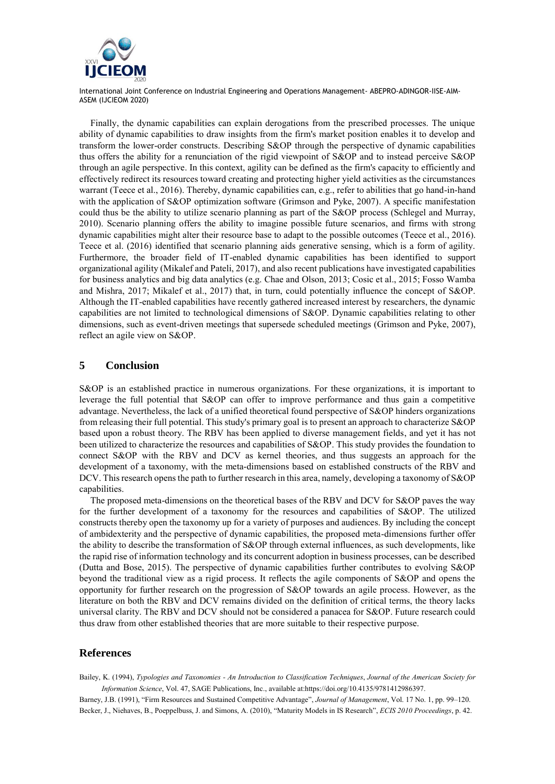

Finally, the dynamic capabilities can explain derogations from the prescribed processes. The unique ability of dynamic capabilities to draw insights from the firm's market position enables it to develop and transform the lower-order constructs. Describing S&OP through the perspective of dynamic capabilities thus offers the ability for a renunciation of the rigid viewpoint of S&OP and to instead perceive S&OP through an agile perspective. In this context, agility can be defined as the firm's capacity to efficiently and effectively redirect its resources toward creating and protecting higher yield activities as the circumstances warrant (Teece et al., 2016). Thereby, dynamic capabilities can, e.g., refer to abilities that go hand-in-hand with the application of S&OP optimization software (Grimson and Pyke, 2007). A specific manifestation could thus be the ability to utilize scenario planning as part of the S&OP process (Schlegel and Murray, 2010). Scenario planning offers the ability to imagine possible future scenarios, and firms with strong dynamic capabilities might alter their resource base to adapt to the possible outcomes (Teece et al., 2016). Teece et al. (2016) identified that scenario planning aids generative sensing, which is a form of agility. Furthermore, the broader field of IT-enabled dynamic capabilities has been identified to support organizational agility (Mikalef and Pateli, 2017), and also recent publications have investigated capabilities for business analytics and big data analytics (e.g. Chae and Olson, 2013; Cosic et al., 2015; Fosso Wamba and Mishra, 2017; Mikalef et al., 2017) that, in turn, could potentially influence the concept of S&OP. Although the IT-enabled capabilities have recently gathered increased interest by researchers, the dynamic capabilities are not limited to technological dimensions of S&OP. Dynamic capabilities relating to other dimensions, such as event-driven meetings that supersede scheduled meetings (Grimson and Pyke, 2007), reflect an agile view on S&OP.

# **5 Conclusion**

S&OP is an established practice in numerous organizations. For these organizations, it is important to leverage the full potential that S&OP can offer to improve performance and thus gain a competitive advantage. Nevertheless, the lack of a unified theoretical found perspective of S&OP hinders organizations from releasing their full potential. This study's primary goal is to present an approach to characterize S&OP based upon a robust theory. The RBV has been applied to diverse management fields, and yet it has not been utilized to characterize the resources and capabilities of S&OP. This study provides the foundation to connect S&OP with the RBV and DCV as kernel theories, and thus suggests an approach for the development of a taxonomy, with the meta-dimensions based on established constructs of the RBV and DCV. This research opens the path to further research in this area, namely, developing a taxonomy of S&OP capabilities.

The proposed meta-dimensions on the theoretical bases of the RBV and DCV for S&OP paves the way for the further development of a taxonomy for the resources and capabilities of S&OP. The utilized constructs thereby open the taxonomy up for a variety of purposes and audiences. By including the concept of ambidexterity and the perspective of dynamic capabilities, the proposed meta-dimensions further offer the ability to describe the transformation of S&OP through external influences, as such developments, like the rapid rise of information technology and its concurrent adoption in business processes, can be described (Dutta and Bose, 2015). The perspective of dynamic capabilities further contributes to evolving S&OP beyond the traditional view as a rigid process. It reflects the agile components of S&OP and opens the opportunity for further research on the progression of S&OP towards an agile process. However, as the literature on both the RBV and DCV remains divided on the definition of critical terms, the theory lacks universal clarity. The RBV and DCV should not be considered a panacea for S&OP. Future research could thus draw from other established theories that are more suitable to their respective purpose.

## **References**

Bailey, K. (1994), *Typologies and Taxonomies - An Introduction to Classification Techniques*, *Journal of the American Society for Information Science*, Vol. 47, SAGE Publications, Inc., available at:https://doi.org/10.4135/9781412986397.

Barney, J.B. (1991), "Firm Resources and Sustained Competitive Advantage", *Journal of Management*, Vol. 17 No. 1, pp. 99–120. Becker, J., Niehaves, B., Poeppelbuss, J. and Simons, A. (2010), "Maturity Models in IS Research", *ECIS 2010 Proceedings*, p. 42.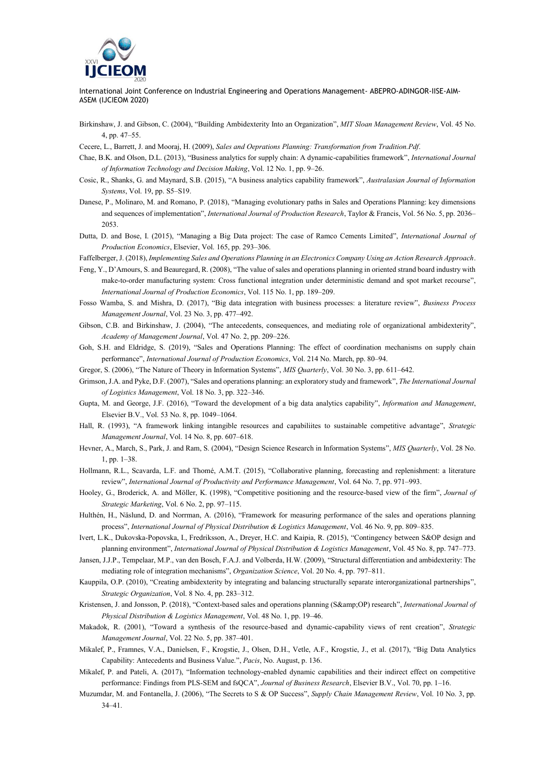

- Birkinshaw, J. and Gibson, C. (2004), "Building Ambidexterity Into an Organization", *MIT Sloan Management Review*, Vol. 45 No. 4, pp. 47–55.
- Cecere, L., Barrett, J. and Mooraj, H. (2009), *Sales and Oeprations Planning: Transformation from Tradition.Pdf*.
- Chae, B.K. and Olson, D.L. (2013), "Business analytics for supply chain: A dynamic-capabilities framework", *International Journal of Information Technology and Decision Making*, Vol. 12 No. 1, pp. 9–26.
- Cosic, R., Shanks, G. and Maynard, S.B. (2015), "A business analytics capability framework", *Australasian Journal of Information Systems*, Vol. 19, pp. S5–S19.
- Danese, P., Molinaro, M. and Romano, P. (2018), "Managing evolutionary paths in Sales and Operations Planning: key dimensions and sequences of implementation", *International Journal of Production Research*, Taylor & Francis, Vol. 56 No. 5, pp. 2036– 2053.
- Dutta, D. and Bose, I. (2015), "Managing a Big Data project: The case of Ramco Cements Limited", *International Journal of Production Economics*, Elsevier, Vol. 165, pp. 293–306.
- Faffelberger, J. (2018), *Implementing Sales and Operations Planning in an Electronics Company Using an Action Research Approach*.
- Feng, Y., D'Amours, S. and Beauregard, R. (2008), "The value of sales and operations planning in oriented strand board industry with make-to-order manufacturing system: Cross functional integration under deterministic demand and spot market recourse", *International Journal of Production Economics*, Vol. 115 No. 1, pp. 189–209.
- Fosso Wamba, S. and Mishra, D. (2017), "Big data integration with business processes: a literature review", *Business Process Management Journal*, Vol. 23 No. 3, pp. 477–492.
- Gibson, C.B. and Birkinshaw, J. (2004), "The antecedents, consequences, and mediating role of organizational ambidexterity", *Academy of Management Journal*, Vol. 47 No. 2, pp. 209–226.
- Goh, S.H. and Eldridge, S. (2019), "Sales and Operations Planning: The effect of coordination mechanisms on supply chain performance", *International Journal of Production Economics*, Vol. 214 No. March, pp. 80–94.
- Gregor, S. (2006), "The Nature of Theory in Information Systems", *MIS Quarterly*, Vol. 30 No. 3, pp. 611–642.
- Grimson, J.A. and Pyke, D.F. (2007), "Sales and operations planning: an exploratory study and framework", *The International Journal of Logistics Management*, Vol. 18 No. 3, pp. 322–346.
- Gupta, M. and George, J.F. (2016), "Toward the development of a big data analytics capability", *Information and Management*, Elsevier B.V., Vol. 53 No. 8, pp. 1049–1064.
- Hall, R. (1993), "A framework linking intangible resources and capabiliites to sustainable competitive advantage", *Strategic Management Journal*, Vol. 14 No. 8, pp. 607–618.
- Hevner, A., March, S., Park, J. and Ram, S. (2004), "Design Science Research in Information Systems", *MIS Quarterly*, Vol. 28 No. 1, pp. 1–38.
- Hollmann, R.L., Scavarda, L.F. and Thomé, A.M.T. (2015), "Collaborative planning, forecasting and replenishment: a literature review", *International Journal of Productivity and Performance Management*, Vol. 64 No. 7, pp. 971–993.
- Hooley, G., Broderick, A. and Möller, K. (1998), "Competitive positioning and the resource-based view of the firm", *Journal of Strategic Marketing*, Vol. 6 No. 2, pp. 97–115.
- Hulthén, H., Näslund, D. and Norrman, A. (2016), "Framework for measuring performance of the sales and operations planning process", *International Journal of Physical Distribution & Logistics Management*, Vol. 46 No. 9, pp. 809–835.
- Ivert, L.K., Dukovska-Popovska, I., Fredriksson, A., Dreyer, H.C. and Kaipia, R. (2015), "Contingency between S&OP design and planning environment", *International Journal of Physical Distribution & Logistics Management*, Vol. 45 No. 8, pp. 747–773.
- Jansen, J.J.P., Tempelaar, M.P., van den Bosch, F.A.J. and Volberda, H.W. (2009), "Structural differentiation and ambidexterity: The mediating role of integration mechanisms", *Organization Science*, Vol. 20 No. 4, pp. 797–811.
- Kauppila, O.P. (2010), "Creating ambidexterity by integrating and balancing structurally separate interorganizational partnerships", *Strategic Organization*, Vol. 8 No. 4, pp. 283–312.
- Kristensen, J. and Jonsson, P. (2018), "Context-based sales and operations planning (S&OP) research", *International Journal of Physical Distribution & Logistics Management*, Vol. 48 No. 1, pp. 19–46.
- Makadok, R. (2001), "Toward a synthesis of the resource-based and dynamic-capability views of rent creation", *Strategic Management Journal*, Vol. 22 No. 5, pp. 387–401.
- Mikalef, P., Framnes, V.A., Danielsen, F., Krogstie, J., Olsen, D.H., Vetle, A.F., Krogstie, J., et al. (2017), "Big Data Analytics Capability: Antecedents and Business Value.", *Pacis*, No. August, p. 136.
- Mikalef, P. and Pateli, A. (2017), "Information technology-enabled dynamic capabilities and their indirect effect on competitive performance: Findings from PLS-SEM and fsQCA", *Journal of Business Research*, Elsevier B.V., Vol. 70, pp. 1–16.
- Muzumdar, M. and Fontanella, J. (2006), "The Secrets to S & OP Success", *Supply Chain Management Review*, Vol. 10 No. 3, pp. 34–41.